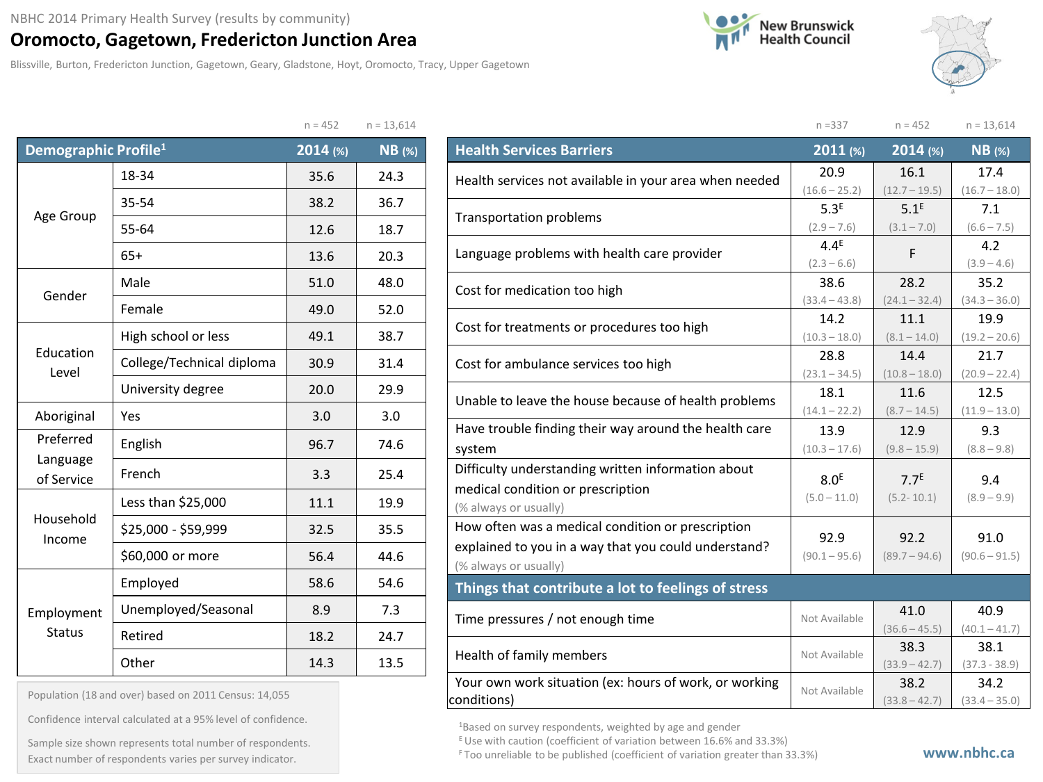## **Oromocto, Gagetown, Fredericton Junction Area**

Blissville, Burton, Fredericton Junction, Gagetown, Geary, Gladstone, Hoyt, Oromocto, Tracy, Upper Gagetown





|                                  |                           | $n = 452$ | $n = 13,614$ |
|----------------------------------|---------------------------|-----------|--------------|
| Demographic Profile <sup>1</sup> |                           | 2014 (%)  | $NB$ (%)     |
|                                  | 18-34                     | 35.6      | 24.3         |
|                                  | 35-54                     | 38.2      | 36.7         |
| Age Group                        | 55-64                     | 12.6      | 18.7         |
|                                  | $65+$                     | 13.6      | 20.3         |
| Gender                           | Male                      |           | 48.0         |
|                                  | Female                    | 49.0      | 52.0         |
| Education<br>Level               | High school or less       | 49.1      | 38.7         |
|                                  | College/Technical diploma | 30.9      | 31.4         |
|                                  | University degree         | 20.0      | 29.9         |
| Aboriginal                       | Yes                       | 3.0       | 3.0          |
| Preferred                        | English                   | 96.7      | 74.6         |
| Language<br>of Service           | French                    | 3.3       | 25.4         |
|                                  | Less than \$25,000        | 11.1      | 19.9         |
| Household<br>Income              | \$25,000 - \$59,999       | 32.5      | 35.5         |
|                                  | \$60,000 or more          | 56.4      | 44.6         |
|                                  | Employed                  | 58.6      | 54.6         |
| Employment                       | Unemployed/Seasonal       | 8.9       | 7.3          |
| <b>Status</b>                    | Retired                   | 18.2      | 24.7         |
|                                  | Other                     | 14.3      | 13.5         |

| Population (18 and over) based on 2011 Census: 14,055 |  |  |  |
|-------------------------------------------------------|--|--|--|
|-------------------------------------------------------|--|--|--|

Confidence interval calculated at a 95% level of confidence.

Exact number of respondents varies per survey indicator. **Exact number of respondents varies per survey** indicator. Sample size shown represents total number of respondents.

|                                                        | $n = 337$        | $n = 452$        | $n = 13,614$    |  |  |
|--------------------------------------------------------|------------------|------------------|-----------------|--|--|
| <b>Health Services Barriers</b>                        | 2011 (%)         | 2014 (%)         | $NB$ (%)        |  |  |
| Health services not available in your area when needed | 20.9             | 16.1             | 17.4            |  |  |
|                                                        | $(16.6 - 25.2)$  | $(12.7 - 19.5)$  | $(16.7 - 18.0)$ |  |  |
| <b>Transportation problems</b>                         | 5.3 <sup>E</sup> | 5.1 <sup>E</sup> | 7.1             |  |  |
|                                                        | $(2.9 - 7.6)$    | $(3.1 - 7.0)$    | $(6.6 - 7.5)$   |  |  |
| Language problems with health care provider            | $4.4^E$          | F                | 4.2             |  |  |
|                                                        | $(2.3 - 6.6)$    |                  | $(3.9 - 4.6)$   |  |  |
| Cost for medication too high                           | 38.6             | 28.2             | 35.2            |  |  |
|                                                        | $(33.4 - 43.8)$  | $(24.1 - 32.4)$  | $(34.3 - 36.0)$ |  |  |
| Cost for treatments or procedures too high             | 14.2             | 11.1             | 19.9            |  |  |
|                                                        | $(10.3 - 18.0)$  | $(8.1 - 14.0)$   | $(19.2 - 20.6)$ |  |  |
| Cost for ambulance services too high                   | 28.8             | 14.4             | 21.7            |  |  |
|                                                        | $(23.1 - 34.5)$  | $(10.8 - 18.0)$  | $(20.9 - 22.4)$ |  |  |
| Unable to leave the house because of health problems   | 18.1             | 11.6             | 12.5            |  |  |
|                                                        | $(14.1 - 22.2)$  | $(8.7 - 14.5)$   | $(11.9 - 13.0)$ |  |  |
| Have trouble finding their way around the health care  | 13.9             | 12.9             | 9.3             |  |  |
| system                                                 | $(10.3 - 17.6)$  | $(9.8 - 15.9)$   | $(8.8 - 9.8)$   |  |  |
| Difficulty understanding written information about     | 8.0 <sup>E</sup> | 7.7 <sup>E</sup> | 9.4             |  |  |
| medical condition or prescription                      | $(5.0 - 11.0)$   | $(5.2 - 10.1)$   | $(8.9 - 9.9)$   |  |  |
| (% always or usually)                                  |                  |                  |                 |  |  |
| How often was a medical condition or prescription      | 92.9             | 92.2             | 91.0            |  |  |
| explained to you in a way that you could understand?   | $(90.1 - 95.6)$  | $(89.7 - 94.6)$  | $(90.6 - 91.5)$ |  |  |
| (% always or usually)                                  |                  |                  |                 |  |  |
| Things that contribute a lot to feelings of stress     |                  |                  |                 |  |  |
| Time pressures / not enough time                       | Not Available    | 41.0             | 40.9            |  |  |
|                                                        |                  | $(36.6 - 45.5)$  | $(40.1 - 41.7)$ |  |  |
| Health of family members                               | Not Available    | 38.3             | 38.1            |  |  |
|                                                        |                  | $(33.9 - 42.7)$  | $(37.3 - 38.9)$ |  |  |
| Your own work situation (ex: hours of work, or working | Not Available    | 38.2             | 34.2            |  |  |
| conditions)                                            |                  | $(33.8 - 42.7)$  | $(33.4 - 35.0)$ |  |  |

1Based on survey respondents, weighted by age and gender

 $E$  Use with caution (coefficient of variation between 16.6% and 33.3%)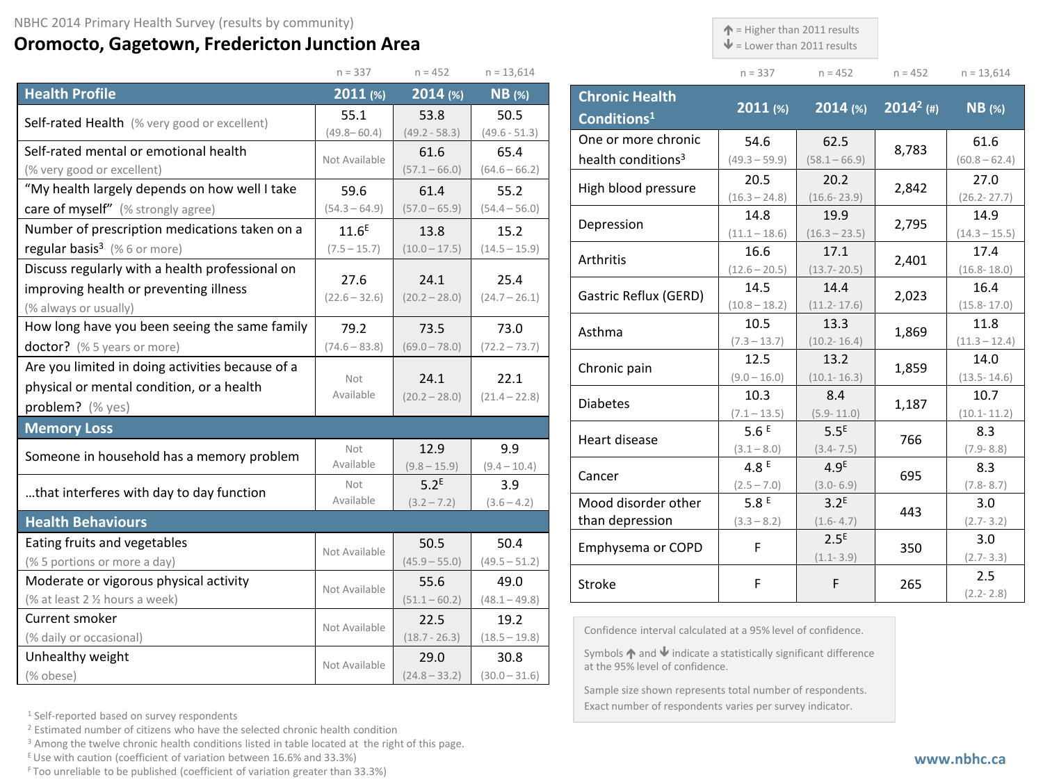## **Oromocto, Gagetown, Fredericton Junction Area**

 $\uparrow$  = Higher than 2011 results

 $\blacklozenge$  = Lower than 2011 results

**Chronic Health** 

| $n = 337$ | $n = 452$ | $n = 452$ | $n = 13,614$ |
|-----------|-----------|-----------|--------------|

|                                                  | $n = 337$         | $n = 452$        | $n = 13,614$    |
|--------------------------------------------------|-------------------|------------------|-----------------|
| <b>Health Profile</b>                            | 2011 (%)          | 2014 (%)         | $NB$ (%)        |
| Self-rated Health (% very good or excellent)     | 55.1              | 53.8             | 50.5            |
|                                                  | $(49.8 - 60.4)$   | $(49.2 - 58.3)$  | $(49.6 - 51.3)$ |
| Self-rated mental or emotional health            | Not Available     | 61.6             | 65.4            |
| (% very good or excellent)                       |                   | $(57.1 - 66.0)$  | $(64.6 - 66.2)$ |
| "My health largely depends on how well I take    | 59.6              | 61.4             | 55.2            |
| care of myself" (% strongly agree)               | $(54.3 - 64.9)$   | $(57.0 - 65.9)$  | $(54.4 - 56.0)$ |
| Number of prescription medications taken on a    | 11.6 <sup>E</sup> | 13.8             | 15.2            |
| regular basis <sup>3</sup> (%6 or more)          | $(7.5 - 15.7)$    | $(10.0 - 17.5)$  | $(14.5 - 15.9)$ |
| Discuss regularly with a health professional on  |                   |                  |                 |
| improving health or preventing illness           | 27.6              | 24.1             | 25.4            |
| (% always or usually)                            | $(22.6 - 32.6)$   | $(20.2 - 28.0)$  | $(24.7 - 26.1)$ |
| How long have you been seeing the same family    | 79.2              | 73.5             | 73.0            |
| doctor? (% 5 years or more)                      | $(74.6 - 83.8)$   | $(69.0 - 78.0)$  | $(72.2 - 73.7)$ |
| Are you limited in doing activities because of a |                   |                  |                 |
| physical or mental condition, or a health        | Not<br>Available  | 24.1             | 22.1            |
| problem? (% yes)                                 |                   | $(20.2 - 28.0)$  | $(21.4 - 22.8)$ |
| <b>Memory Loss</b>                               |                   |                  |                 |
| Someone in household has a memory problem        | Not               | 12.9             | 9.9             |
|                                                  | Available         | $(9.8 - 15.9)$   | $(9.4 - 10.4)$  |
| that interferes with day to day function         | Not               | 5.2 <sup>E</sup> | 3.9             |
|                                                  | Available         | $(3.2 - 7.2)$    | $(3.6 - 4.2)$   |
| <b>Health Behaviours</b>                         |                   |                  |                 |
| Eating fruits and vegetables                     | Not Available     | 50.5             | 50.4            |
| (% 5 portions or more a day)                     |                   | $(45.9 - 55.0)$  | $(49.5 - 51.2)$ |
| Moderate or vigorous physical activity           | Not Available     | 55.6             | 49.0            |
| (% at least 2 1/2 hours a week)                  |                   | $(51.1 - 60.2)$  | $(48.1 - 49.8)$ |
| Current smoker                                   | Not Available     | 22.5             | 19.2            |
| (% daily or occasional)                          |                   | $(18.7 - 26.3)$  | $(18.5 - 19.8)$ |
| Unhealthy weight                                 | Not Available     | 29.0             | 30.8            |
| (% obese)                                        |                   | $(24.8 - 33.2)$  | $(30.0 - 31.6)$ |

| <u> </u><br>Conditions <sup>1</sup> | 2011 (%)        | 2014 (%)         | $2014^2$ (#) | $NB$ (%)        |
|-------------------------------------|-----------------|------------------|--------------|-----------------|
| One or more chronic                 | 54.6            | 62.5             |              | 61.6            |
| health conditions <sup>3</sup>      | $(49.3 - 59.9)$ | $(58.1 - 66.9)$  | 8,783        | $(60.8 - 62.4)$ |
|                                     | 20.5            | 20.2             |              | 27.0            |
| High blood pressure                 | $(16.3 - 24.8)$ | $(16.6 - 23.9)$  | 2,842        | $(26.2 - 27.7)$ |
| Depression                          | 14.8            | 19.9             | 2,795        | 14.9            |
|                                     | $(11.1 - 18.6)$ | $(16.3 - 23.5)$  |              | $(14.3 - 15.5)$ |
| Arthritis                           | 16.6            | 17.1             | 2,401        | 17.4            |
|                                     | $(12.6 - 20.5)$ | $(13.7 - 20.5)$  |              | $(16.8 - 18.0)$ |
| Gastric Reflux (GERD)               | 14.5            | 14.4             | 2,023        | 16.4            |
|                                     | $(10.8 - 18.2)$ | $(11.2 - 17.6)$  |              | $(15.8 - 17.0)$ |
| Asthma                              | 10.5            | 13.3             | 1,869        | 11.8            |
|                                     | $(7.3 - 13.7)$  | $(10.2 - 16.4)$  |              | $(11.3 - 12.4)$ |
| Chronic pain                        | 12.5            | 13.2             | 1,859        | 14.0            |
|                                     | $(9.0 - 16.0)$  | $(10.1 - 16.3)$  |              | $(13.5 - 14.6)$ |
| <b>Diabetes</b>                     | 10.3            | 8.4              | 1,187        | 10.7            |
|                                     | $(7.1 - 13.5)$  | $(5.9 - 11.0)$   |              | $(10.1 - 11.2)$ |
| Heart disease                       | 5.6 $E$         | 5.5 <sup>E</sup> | 766          | 8.3             |
|                                     | $(3.1 - 8.0)$   | $(3.4 - 7.5)$    |              | $(7.9 - 8.8)$   |
| Cancer                              | 4.8 $E$         | 4.9 <sup>E</sup> | 695          | 8.3             |
|                                     | $(2.5 - 7.0)$   | $(3.0 - 6.9)$    |              | $(7.8 - 8.7)$   |
| Mood disorder other                 | 5.8E            | 3.2 <sup>E</sup> | 443          | 3.0             |
| than depression                     | $(3.3 - 8.2)$   | $(1.6 - 4.7)$    |              | $(2.7 - 3.2)$   |
| Emphysema or COPD                   | F               | 2.5 <sup>E</sup> | 350          | 3.0             |
|                                     |                 | $(1.1 - 3.9)$    |              | $(2.7 - 3.3)$   |
| Stroke                              | F               | F                | 265          | 2.5             |
|                                     |                 |                  |              | $(2.2 - 2.8)$   |

Confidence interval calculated at a 95% level of confidence.

Symbols  $\bigwedge$  and  $\bigvee$  indicate a statistically significant difference at the 95% level of confidence.

Sample size shown represents total number of respondents. Exact number of respondents varies per survey indicator.

<sup>1</sup> Self-reported based on survey respondents

<sup>2</sup> Estimated number of citizens who have the selected chronic health condition

<sup>3</sup> Among the twelve chronic health conditions listed in table located at the right of this page.

 $E$  Use with caution (coefficient of variation between 16.6% and 33.3%)

F Too unreliable to be published (coefficient of variation greater than 33.3%)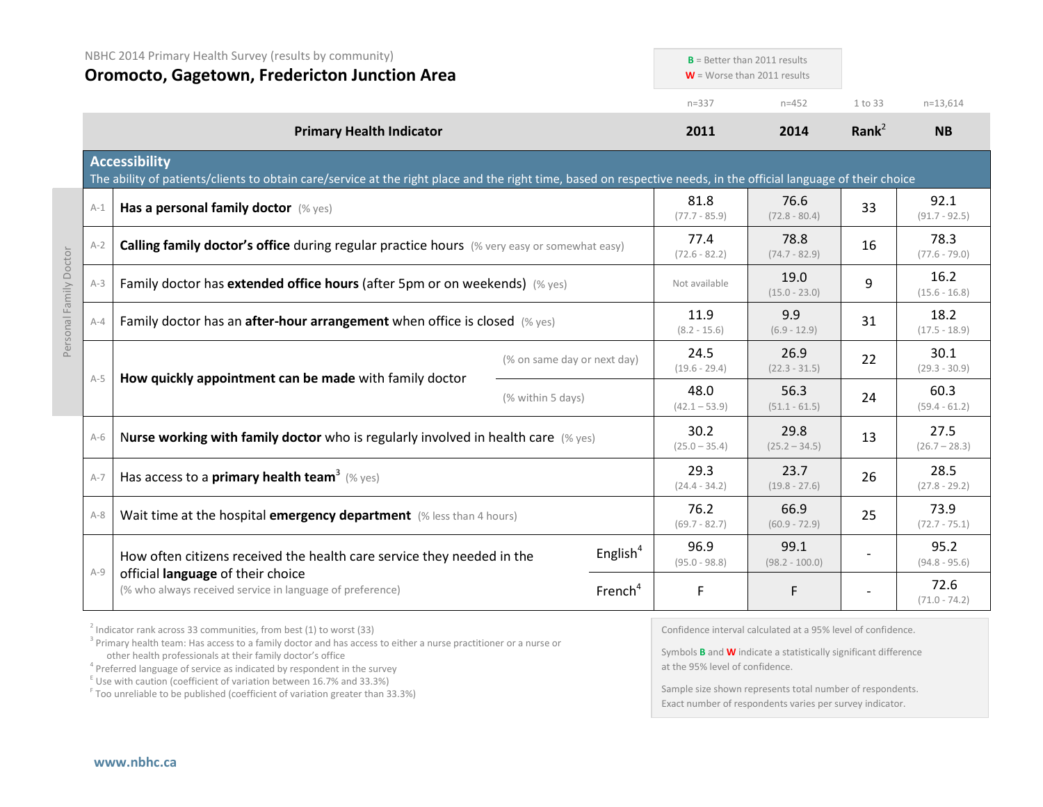|         | NBHC 2014 Primary Health Survey (results by community)<br><b>Oromocto, Gagetown, Fredericton Junction Area</b>                                                                            |                   |                             |                         | $B$ = Better than 2011 results<br>$W =$ Worse than 2011 results |                         |                         |
|---------|-------------------------------------------------------------------------------------------------------------------------------------------------------------------------------------------|-------------------|-----------------------------|-------------------------|-----------------------------------------------------------------|-------------------------|-------------------------|
|         |                                                                                                                                                                                           |                   |                             | $n = 337$               | $n = 452$                                                       | 1 to 33                 | $n=13,614$              |
|         | <b>Primary Health Indicator</b>                                                                                                                                                           |                   |                             | 2011                    | 2014                                                            | Rank <sup>2</sup>       | <b>NB</b>               |
|         | <b>Accessibility</b><br>The ability of patients/clients to obtain care/service at the right place and the right time, based on respective needs, in the official language of their choice |                   |                             |                         |                                                                 |                         |                         |
| $A-1$   | Has a personal family doctor (% yes)                                                                                                                                                      |                   |                             | 81.8<br>$(77.7 - 85.9)$ | 76.6<br>$(72.8 - 80.4)$                                         | 33                      | 92.1<br>$(91.7 - 92.5)$ |
| $A-2$   | Calling family doctor's office during regular practice hours (% very easy or somewhat easy)                                                                                               |                   |                             | 77.4<br>$(72.6 - 82.2)$ | 78.8<br>$(74.7 - 82.9)$                                         | 16                      | 78.3<br>$(77.6 - 79.0)$ |
| $A-3$   | Family doctor has extended office hours (after 5pm or on weekends) (% yes)                                                                                                                |                   | Not available               | 19.0<br>$(15.0 - 23.0)$ | 9                                                               | 16.2<br>$(15.6 - 16.8)$ |                         |
| $A - 4$ | Family doctor has an <b>after-hour arrangement</b> when office is closed $(\%$ yes)                                                                                                       |                   | 11.9<br>$(8.2 - 15.6)$      | 9.9<br>$(6.9 - 12.9)$   | 31                                                              | 18.2<br>$(17.5 - 18.9)$ |                         |
|         |                                                                                                                                                                                           |                   | (% on same day or next day) | 24.5<br>$(19.6 - 29.4)$ | 26.9<br>$(22.3 - 31.5)$                                         | 22                      | 30.1<br>$(29.3 - 30.9)$ |
| $A-5$   | How quickly appointment can be made with family doctor                                                                                                                                    | (% within 5 days) |                             | 48.0<br>$(42.1 - 53.9)$ | 56.3<br>$(51.1 - 61.5)$                                         | 24                      | 60.3<br>$(59.4 - 61.2)$ |
| $A-6$   | Nurse working with family doctor who is regularly involved in health care $(\%$ yes)                                                                                                      |                   |                             | 30.2<br>$(25.0 - 35.4)$ | 29.8<br>$(25.2 - 34.5)$                                         | 13                      | 27.5<br>$(26.7 - 28.3)$ |
| $A-7$   | Has access to a <b>primary health team</b> <sup>3</sup> (% yes)                                                                                                                           |                   |                             | 29.3<br>$(24.4 - 34.2)$ | 23.7<br>$(19.8 - 27.6)$                                         | 26                      | 28.5<br>$(27.8 - 29.2)$ |
| $A-8$   | Wait time at the hospital emergency department (% less than 4 hours)                                                                                                                      |                   |                             | 76.2<br>$(69.7 - 82.7)$ | 66.9<br>$(60.9 - 72.9)$                                         | 25                      | 73.9<br>$(72.7 - 75.1)$ |
|         | How often citizens received the health care service they needed in the                                                                                                                    |                   | English $4$                 | 96.9<br>$(95.0 - 98.8)$ | 99.1<br>$(98.2 - 100.0)$                                        |                         | 95.2<br>$(94.8 - 95.6)$ |
| $A-9$   | official language of their choice<br>(% who always received service in language of preference)                                                                                            |                   | French <sup>4</sup>         | F                       | F.                                                              |                         | 72.6<br>$(71.0 - 74.2)$ |

 $2$  Indicator rank across 33 communities, from best (1) to worst (33)

<sup>3</sup> Primary health team: Has access to a family doctor and has access to either a nurse practitioner or a nurse or other health professionals at their family doctor's office

<sup>4</sup> Preferred language of service as indicated by respondent in the survey

 $E$  Use with caution (coefficient of variation between 16.7% and 33.3%)

<sup>F</sup> Too unreliable to be published (coefficient of variation greater than 33.3%)

Confidence interval calculated at a 95% level of confidence.

Symbols **B** and **W** indicate a statistically significant difference at the 95% level of confidence.

Sample size shown represents total number of respondents. Exact number of respondents varies per survey indicator.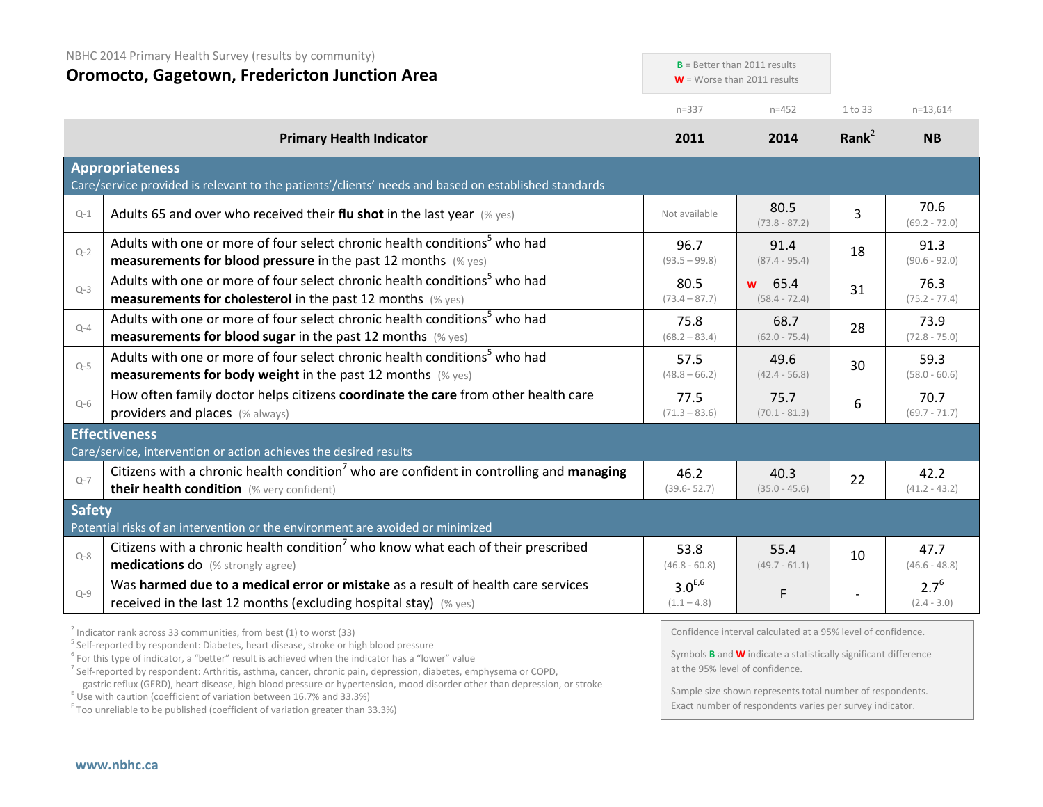|               | NBHC 2014 Primary Health Survey (results by community)<br><b>Oromocto, Gagetown, Fredericton Junction Area</b>                                                                                                                                                                                                                                                                                                                                                                                                                                                                                                         |                              | $B$ = Better than 2011 results<br>$W =$ Worse than 2011 results                                                                                                                                                                               |                   |                            |
|---------------|------------------------------------------------------------------------------------------------------------------------------------------------------------------------------------------------------------------------------------------------------------------------------------------------------------------------------------------------------------------------------------------------------------------------------------------------------------------------------------------------------------------------------------------------------------------------------------------------------------------------|------------------------------|-----------------------------------------------------------------------------------------------------------------------------------------------------------------------------------------------------------------------------------------------|-------------------|----------------------------|
|               |                                                                                                                                                                                                                                                                                                                                                                                                                                                                                                                                                                                                                        | $n = 337$                    | $n = 452$                                                                                                                                                                                                                                     | 1 to 33           | $n=13,614$                 |
|               | <b>Primary Health Indicator</b>                                                                                                                                                                                                                                                                                                                                                                                                                                                                                                                                                                                        | 2011                         | 2014                                                                                                                                                                                                                                          | Rank <sup>2</sup> | <b>NB</b>                  |
|               | <b>Appropriateness</b><br>Care/service provided is relevant to the patients'/clients' needs and based on established standards                                                                                                                                                                                                                                                                                                                                                                                                                                                                                         |                              |                                                                                                                                                                                                                                               |                   |                            |
| $Q-1$         | Adults 65 and over who received their flu shot in the last year $(\%$ yes)                                                                                                                                                                                                                                                                                                                                                                                                                                                                                                                                             | Not available                | 80.5<br>$(73.8 - 87.2)$                                                                                                                                                                                                                       | 3                 | 70.6<br>$(69.2 - 72.0)$    |
| $Q - 2$       | Adults with one or more of four select chronic health conditions <sup>5</sup> who had<br>measurements for blood pressure in the past 12 months (% yes)                                                                                                                                                                                                                                                                                                                                                                                                                                                                 | 96.7<br>$(93.5 - 99.8)$      | 91.4<br>$(87.4 - 95.4)$                                                                                                                                                                                                                       | 18                | 91.3<br>$(90.6 - 92.0)$    |
| $Q-3$         | Adults with one or more of four select chronic health conditions <sup>5</sup> who had<br>measurements for cholesterol in the past 12 months (% yes)                                                                                                                                                                                                                                                                                                                                                                                                                                                                    | 80.5<br>$(73.4 - 87.7)$      | 65.4<br><b>W</b><br>$(58.4 - 72.4)$                                                                                                                                                                                                           | 31                | 76.3<br>$(75.2 - 77.4)$    |
| $Q-4$         | Adults with one or more of four select chronic health conditions <sup>5</sup> who had<br><b>measurements for blood sugar in the past 12 months</b> (% yes)                                                                                                                                                                                                                                                                                                                                                                                                                                                             | 75.8<br>$(68.2 - 83.4)$      | 68.7<br>$(62.0 - 75.4)$                                                                                                                                                                                                                       | 28                | 73.9<br>$(72.8 - 75.0)$    |
| $Q-5$         | Adults with one or more of four select chronic health conditions <sup>5</sup> who had<br><b>measurements for body weight</b> in the past 12 months (% yes)                                                                                                                                                                                                                                                                                                                                                                                                                                                             | 57.5<br>$(48.8 - 66.2)$      | 49.6<br>$(42.4 - 56.8)$                                                                                                                                                                                                                       | 30                | 59.3<br>$(58.0 - 60.6)$    |
| $Q-6$         | How often family doctor helps citizens coordinate the care from other health care<br>providers and places (% always)                                                                                                                                                                                                                                                                                                                                                                                                                                                                                                   | 77.5<br>$(71.3 - 83.6)$      | 75.7<br>$(70.1 - 81.3)$                                                                                                                                                                                                                       | 6                 | 70.7<br>$(69.7 - 71.7)$    |
|               | <b>Effectiveness</b><br>Care/service, intervention or action achieves the desired results                                                                                                                                                                                                                                                                                                                                                                                                                                                                                                                              |                              |                                                                                                                                                                                                                                               |                   |                            |
| $Q - 7$       | Citizens with a chronic health condition <sup>7</sup> who are confident in controlling and managing<br>their health condition (% very confident)                                                                                                                                                                                                                                                                                                                                                                                                                                                                       | 46.2<br>$(39.6 - 52.7)$      | 40.3<br>$(35.0 - 45.6)$                                                                                                                                                                                                                       | 22                | 42.2<br>$(41.2 - 43.2)$    |
| <b>Safety</b> | Potential risks of an intervention or the environment are avoided or minimized                                                                                                                                                                                                                                                                                                                                                                                                                                                                                                                                         |                              |                                                                                                                                                                                                                                               |                   |                            |
| $Q - 8$       | Citizens with a chronic health condition <sup>7</sup> who know what each of their prescribed<br><b>medications do</b> (% strongly agree)                                                                                                                                                                                                                                                                                                                                                                                                                                                                               | 53.8<br>$(46.8 - 60.8)$      | 55.4<br>$(49.7 - 61.1)$                                                                                                                                                                                                                       | 10                | 47.7<br>$(46.6 - 48.8)$    |
| $Q-9$         | Was harmed due to a medical error or mistake as a result of health care services<br>received in the last 12 months (excluding hospital stay) (% yes)                                                                                                                                                                                                                                                                                                                                                                                                                                                                   | $3.0^{E,6}$<br>$(1.1 - 4.8)$ | F                                                                                                                                                                                                                                             |                   | $2.7^{6}$<br>$(2.4 - 3.0)$ |
|               | $2$ Indicator rank across 33 communities, from best (1) to worst (33)<br><sup>5</sup> Self-reported by respondent: Diabetes, heart disease, stroke or high blood pressure<br>$6$ For this type of indicator, a "better" result is achieved when the indicator has a "lower" value<br><sup>7</sup> Self-reported by respondent: Arthritis, asthma, cancer, chronic pain, depression, diabetes, emphysema or COPD,<br>gastric reflux (GERD), heart disease, high blood pressure or hypertension, mood disorder other than depression, or stroke<br>E Use with caution (coefficient of variation between 16.7% and 33.3%) |                              | Confidence interval calculated at a 95% level of confidence.<br>Symbols <b>B</b> and <b>W</b> indicate a statistically significant difference<br>at the 95% level of confidence.<br>Sample size shown represents total number of respondents. |                   |                            |

 $F$  Too unreliable to be published (coefficient of variation greater than 33.3%)

Sample size shown represents total number of respondents. Exact number of respondents varies per survey indicator.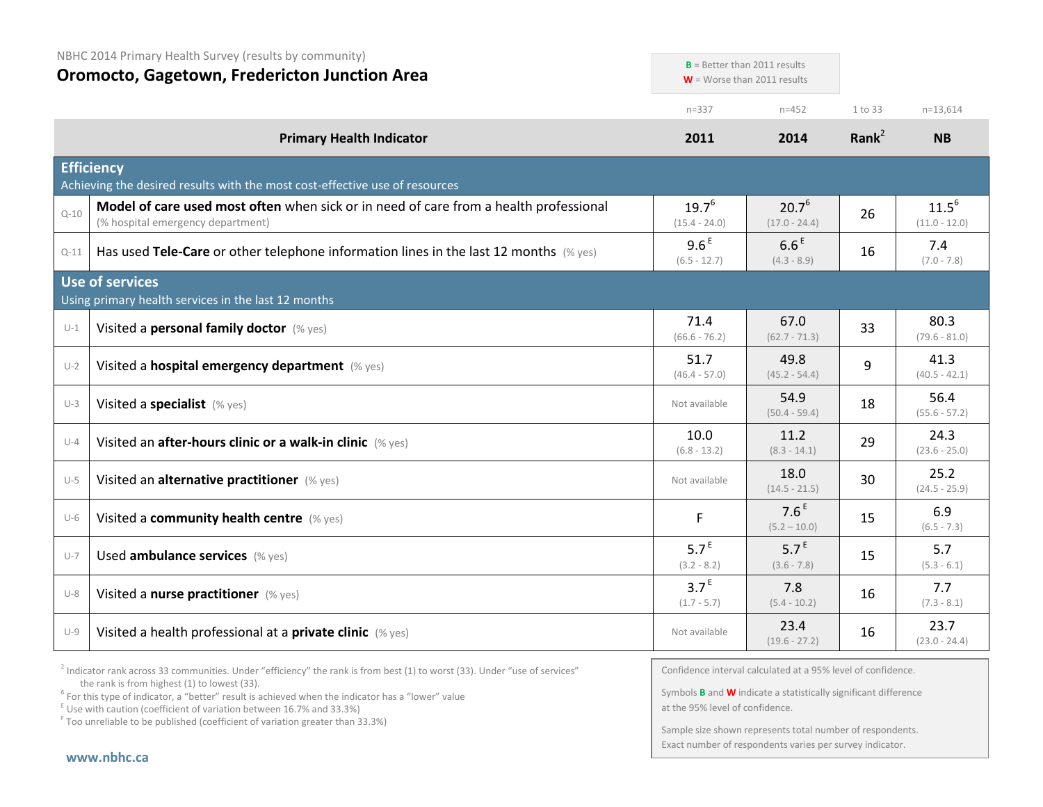| <b>Oromocto, Gagetown, Fredericton Junction Area</b> |                                                                                                                            |                                    | $\mathsf{B}$ = Detter than zullinesuits<br>$W =$ Worse than 2011 results |          |                               |
|------------------------------------------------------|----------------------------------------------------------------------------------------------------------------------------|------------------------------------|--------------------------------------------------------------------------|----------|-------------------------------|
|                                                      |                                                                                                                            | $n = 337$                          | $n = 452$                                                                | 1 to 33  | $n=13,614$                    |
|                                                      | <b>Primary Health Indicator</b>                                                                                            | 2011                               | 2014                                                                     | Rank $2$ | <b>NB</b>                     |
|                                                      | <b>Efficiency</b><br>Achieving the desired results with the most cost-effective use of resources                           |                                    |                                                                          |          |                               |
| $Q - 10$                                             | Model of care used most often when sick or in need of care from a health professional<br>(% hospital emergency department) | $19.7^{6}$<br>$(15.4 - 24.0)$      | $20.7^{6}$<br>$(17.0 - 24.4)$                                            | 26       | $11.5^{6}$<br>$(11.0 - 12.0)$ |
| $Q-11$                                               | Has used Tele-Care or other telephone information lines in the last 12 months $(\%$ yes)                                   | 9.6 <sup>E</sup><br>$(6.5 - 12.7)$ | 6.6 <sup>E</sup><br>$(4.3 - 8.9)$                                        | 16       | 7.4<br>$(7.0 - 7.8)$          |
|                                                      | Use of services<br>Using primary health services in the last 12 months                                                     |                                    |                                                                          |          |                               |
| $U-1$                                                | Visited a personal family doctor (% yes)                                                                                   | 71.4<br>$(66.6 - 76.2)$            | 67.0<br>$(62.7 - 71.3)$                                                  | 33       | 80.3<br>$(79.6 - 81.0)$       |
| $U-2$                                                | Visited a hospital emergency department (% yes)                                                                            | 51.7<br>$(46.4 - 57.0)$            | 49.8<br>$(45.2 - 54.4)$                                                  | 9        | 41.3<br>$(40.5 - 42.1)$       |
| $U-3$                                                | Visited a specialist (% yes)                                                                                               | Not available                      | 54.9<br>$(50.4 - 59.4)$                                                  | 18       | 56.4<br>$(55.6 - 57.2)$       |
| $U-4$                                                | Visited an after-hours clinic or a walk-in clinic (% yes)                                                                  | 10.0<br>$(6.8 - 13.2)$             | 11.2<br>$(8.3 - 14.1)$                                                   | 29       | 24.3<br>$(23.6 - 25.0)$       |
| $U-5$                                                | Visited an alternative practitioner (% yes)                                                                                | Not available                      | 18.0<br>$(14.5 - 21.5)$                                                  | 30       | 25.2<br>$(24.5 - 25.9)$       |
| $U-6$                                                | Visited a community health centre (% yes)                                                                                  | F                                  | 7.6 <sup>E</sup><br>$(5.2 - 10.0)$                                       | 15       | 6.9<br>$(6.5 - 7.3)$          |
| $U-7$                                                | Used ambulance services (% yes)                                                                                            | 5.7 <sup>E</sup><br>$(3.2 - 8.2)$  | 5.7 <sup>E</sup><br>$(3.6 - 7.8)$                                        | 15       | 5.7<br>$(5.3 - 6.1)$          |
| $U-8$                                                | Visited a nurse practitioner (% yes)                                                                                       | 3.7 <sup>E</sup><br>$(1.7 - 5.7)$  | 7.8<br>$(5.4 - 10.2)$                                                    | 16       | 7.7<br>$(7.3 - 8.1)$          |
| $U-9$                                                | Visited a health professional at a private clinic (% yes)                                                                  | Not available                      | 23.4<br>$(19.6 - 27.2)$                                                  | 16       | 23.7<br>$(23.0 - 24.4)$       |

 $2$  Indicator rank across 33 communities. Under "efficiency" the rank is from best (1) to worst (33). Under "use of services" the rank is from highest (1) to lowest (33).

<sup>6</sup> For this type of indicator, a "better" result is achieved when the indicator has a "lower" value  $E$ <sup>E</sup> Use with caution (coefficient of variation between 16.7% and 33.3%)

<sup>F</sup> Too unreliable to be published (coefficient of variation greater than 33.3%)

Confidence interval calculated at a 95% level of confidence.

 $\mathbf{B} = \text{Bottom than 2011 results}$ 

Symbols **B** and **W** indicate a statistically significant difference at the 95% level of confidence.

Sample size shown represents total number of respondents. Exact number of respondents varies per survey indicator.